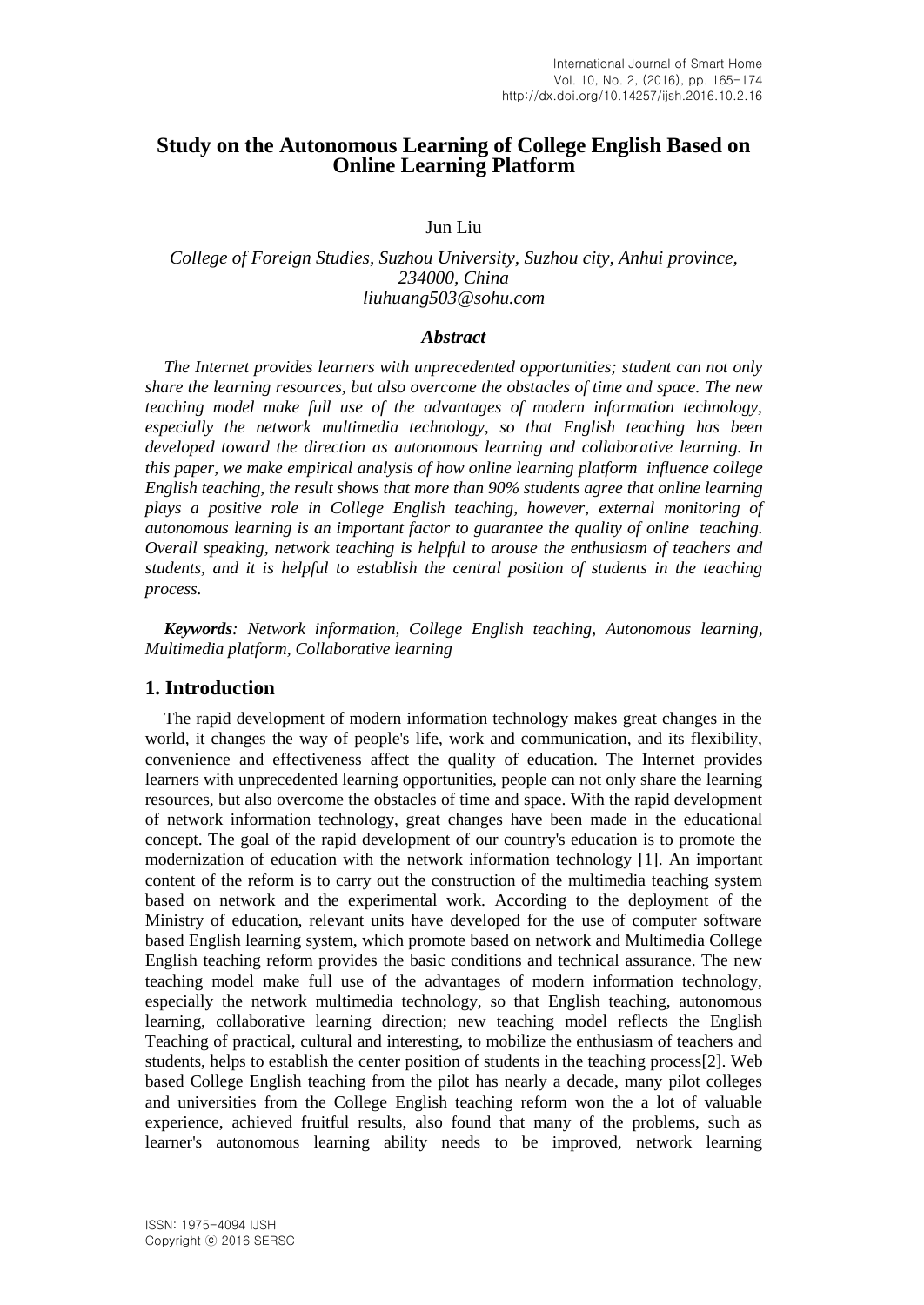# **Study on the Autonomous Learning of College English Based on Online Learning Platform**

Jun Liu

### *College of Foreign Studies, Suzhou University, Suzhou city, Anhui province, 234000, China liuhuang503@sohu.com*

#### *Abstract*

*The Internet provides learners with unprecedented opportunities; student can not only share the learning resources, but also overcome the obstacles of time and space. The new teaching model make full use of the advantages of modern information technology, especially the network multimedia technology, so that English teaching has been developed toward the direction as autonomous learning and collaborative learning. In this paper, we make empirical analysis of how online learning platform influence college English teaching, the result shows that more than 90% students agree that online learning plays a positive role in College English teaching, however, external monitoring of autonomous learning is an important factor to guarantee the quality of online teaching. Overall speaking, network teaching is helpful to arouse the enthusiasm of teachers and students, and it is helpful to establish the central position of students in the teaching process.* 

*Keywords: Network information, College English teaching, Autonomous learning, Multimedia platform, Collaborative learning*

## **1. Introduction**

The rapid development of modern information technology makes great changes in the world, it changes the way of people's life, work and communication, and its flexibility, convenience and effectiveness affect the quality of education. The Internet provides learners with unprecedented learning opportunities, people can not only share the learning resources, but also overcome the obstacles of time and space. With the rapid development of network information technology, great changes have been made in the educational concept. The goal of the rapid development of our country's education is to promote the modernization of education with the network information technology [1]. An important content of the reform is to carry out the construction of the multimedia teaching system based on network and the experimental work. According to the deployment of the Ministry of education, relevant units have developed for the use of computer software based English learning system, which promote based on network and Multimedia College English teaching reform provides the basic conditions and technical assurance. The new teaching model make full use of the advantages of modern information technology, especially the network multimedia technology, so that English teaching, autonomous learning, collaborative learning direction; new teaching model reflects the English Teaching of practical, cultural and interesting, to mobilize the enthusiasm of teachers and students, helps to establish the center position of students in the teaching process[2]. Web based College English teaching from the pilot has nearly a decade, many pilot colleges and universities from the College English teaching reform won the a lot of valuable experience, achieved fruitful results, also found that many of the problems, such as learner's autonomous learning ability needs to be improved, network learning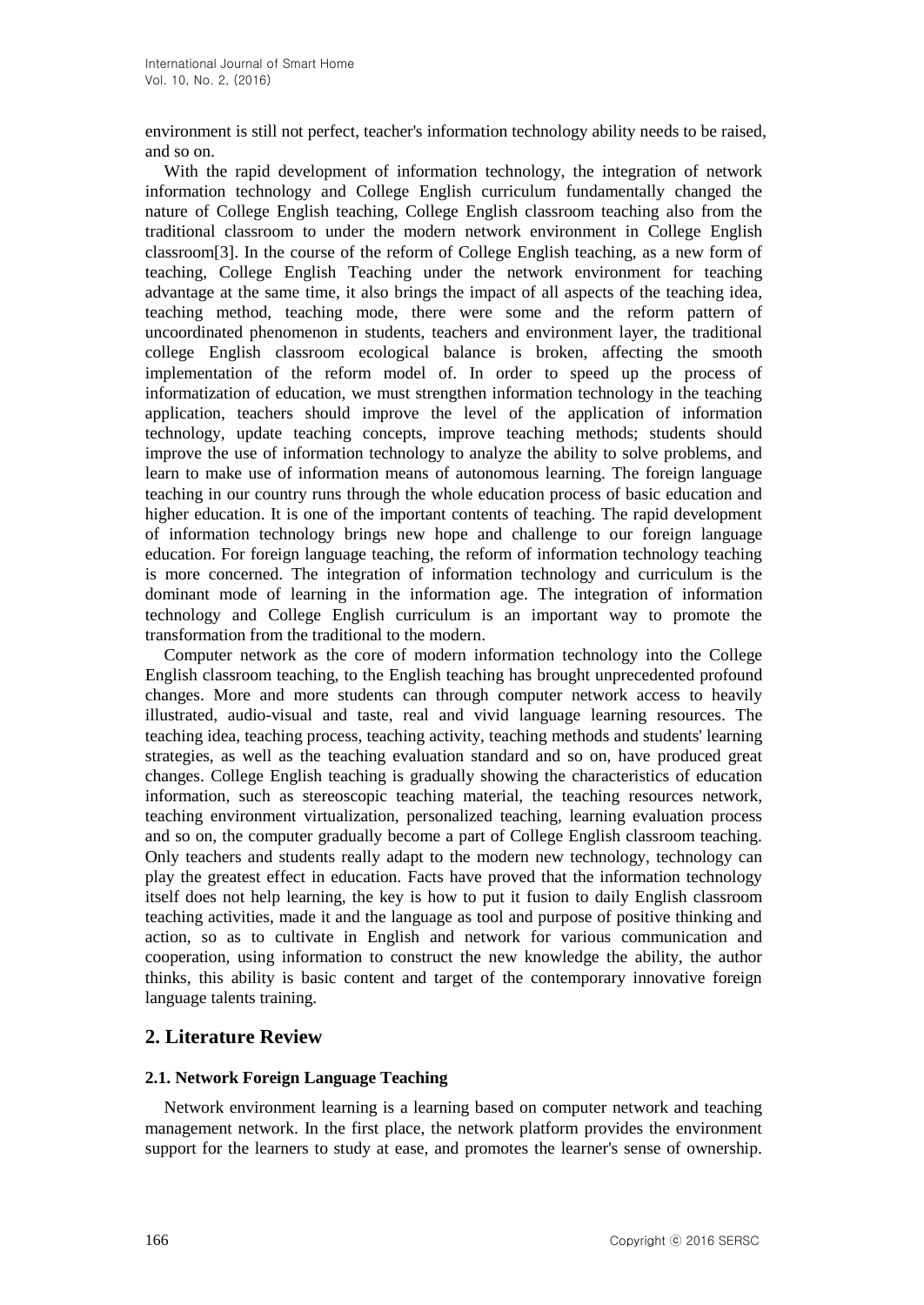environment is still not perfect, teacher's information technology ability needs to be raised, and so on.

With the rapid development of information technology, the integration of network information technology and College English curriculum fundamentally changed the nature of College English teaching, College English classroom teaching also from the traditional classroom to under the modern network environment in College English classroom[3]. In the course of the reform of College English teaching, as a new form of teaching, College English Teaching under the network environment for teaching advantage at the same time, it also brings the impact of all aspects of the teaching idea, teaching method, teaching mode, there were some and the reform pattern of uncoordinated phenomenon in students, teachers and environment layer, the traditional college English classroom ecological balance is broken, affecting the smooth implementation of the reform model of. In order to speed up the process of informatization of education, we must strengthen information technology in the teaching application, teachers should improve the level of the application of information technology, update teaching concepts, improve teaching methods; students should improve the use of information technology to analyze the ability to solve problems, and learn to make use of information means of autonomous learning. The foreign language teaching in our country runs through the whole education process of basic education and higher education. It is one of the important contents of teaching. The rapid development of information technology brings new hope and challenge to our foreign language education. For foreign language teaching, the reform of information technology teaching is more concerned. The integration of information technology and curriculum is the dominant mode of learning in the information age. The integration of information technology and College English curriculum is an important way to promote the transformation from the traditional to the modern.

Computer network as the core of modern information technology into the College English classroom teaching, to the English teaching has brought unprecedented profound changes. More and more students can through computer network access to heavily illustrated, audio-visual and taste, real and vivid language learning resources. The teaching idea, teaching process, teaching activity, teaching methods and students' learning strategies, as well as the teaching evaluation standard and so on, have produced great changes. College English teaching is gradually showing the characteristics of education information, such as stereoscopic teaching material, the teaching resources network, teaching environment virtualization, personalized teaching, learning evaluation process and so on, the computer gradually become a part of College English classroom teaching. Only teachers and students really adapt to the modern new technology, technology can play the greatest effect in education. Facts have proved that the information technology itself does not help learning, the key is how to put it fusion to daily English classroom teaching activities, made it and the language as tool and purpose of positive thinking and action, so as to cultivate in English and network for various communication and cooperation, using information to construct the new knowledge the ability, the author thinks, this ability is basic content and target of the contemporary innovative foreign language talents training.

## **2. Literature Review**

#### **2.1. Network Foreign Language Teaching**

Network environment learning is a learning based on computer network and teaching management network. In the first place, the network platform provides the environment support for the learners to study at ease, and promotes the learner's sense of ownership.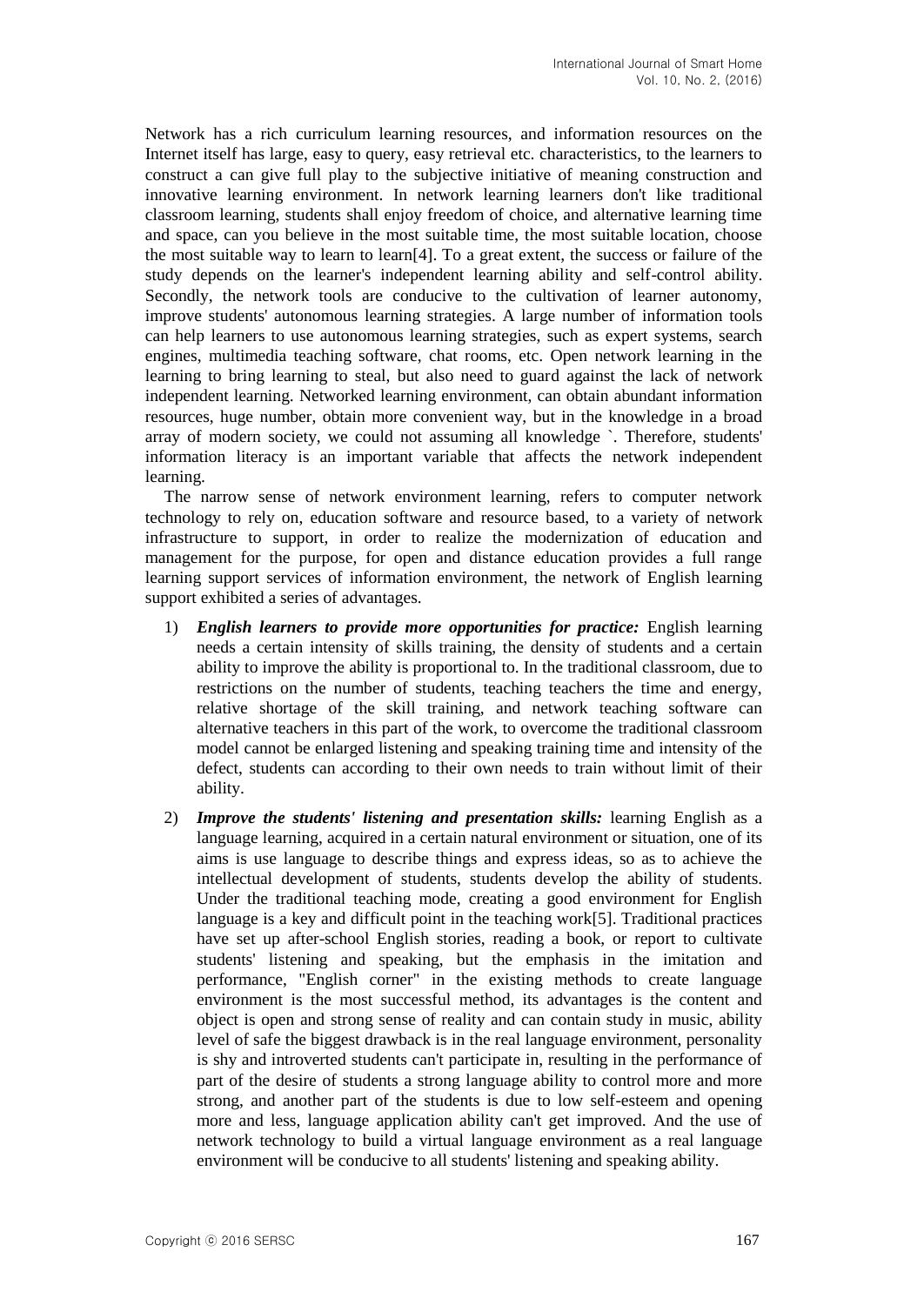Network has a rich curriculum learning resources, and information resources on the Internet itself has large, easy to query, easy retrieval etc. characteristics, to the learners to construct a can give full play to the subjective initiative of meaning construction and innovative learning environment. In network learning learners don't like traditional classroom learning, students shall enjoy freedom of choice, and alternative learning time and space, can you believe in the most suitable time, the most suitable location, choose the most suitable way to learn to learn<sup>[4]</sup>. To a great extent, the success or failure of the study depends on the learner's independent learning ability and self-control ability. Secondly, the network tools are conducive to the cultivation of learner autonomy, improve students' autonomous learning strategies. A large number of information tools can help learners to use autonomous learning strategies, such as expert systems, search engines, multimedia teaching software, chat rooms, etc. Open network learning in the learning to bring learning to steal, but also need to guard against the lack of network independent learning. Networked learning environment, can obtain abundant information resources, huge number, obtain more convenient way, but in the knowledge in a broad array of modern society, we could not assuming all knowledge `. Therefore, students' information literacy is an important variable that affects the network independent learning.

The narrow sense of network environment learning, refers to computer network technology to rely on, education software and resource based, to a variety of network infrastructure to support, in order to realize the modernization of education and management for the purpose, for open and distance education provides a full range learning support services of information environment, the network of English learning support exhibited a series of advantages.

- 1) *English learners to provide more opportunities for practice:* English learning needs a certain intensity of skills training, the density of students and a certain ability to improve the ability is proportional to. In the traditional classroom, due to restrictions on the number of students, teaching teachers the time and energy, relative shortage of the skill training, and network teaching software can alternative teachers in this part of the work, to overcome the traditional classroom model cannot be enlarged listening and speaking training time and intensity of the defect, students can according to their own needs to train without limit of their ability.
- 2) *Improve the students' listening and presentation skills:* learning English as a language learning, acquired in a certain natural environment or situation, one of its aims is use language to describe things and express ideas, so as to achieve the intellectual development of students, students develop the ability of students. Under the traditional teaching mode, creating a good environment for English language is a key and difficult point in the teaching work[5]. Traditional practices have set up after-school English stories, reading a book, or report to cultivate students' listening and speaking, but the emphasis in the imitation and performance, "English corner" in the existing methods to create language environment is the most successful method, its advantages is the content and object is open and strong sense of reality and can contain study in music, ability level of safe the biggest drawback is in the real language environment, personality is shy and introverted students can't participate in, resulting in the performance of part of the desire of students a strong language ability to control more and more strong, and another part of the students is due to low self-esteem and opening more and less, language application ability can't get improved. And the use of network technology to build a virtual language environment as a real language environment will be conducive to all students' listening and speaking ability.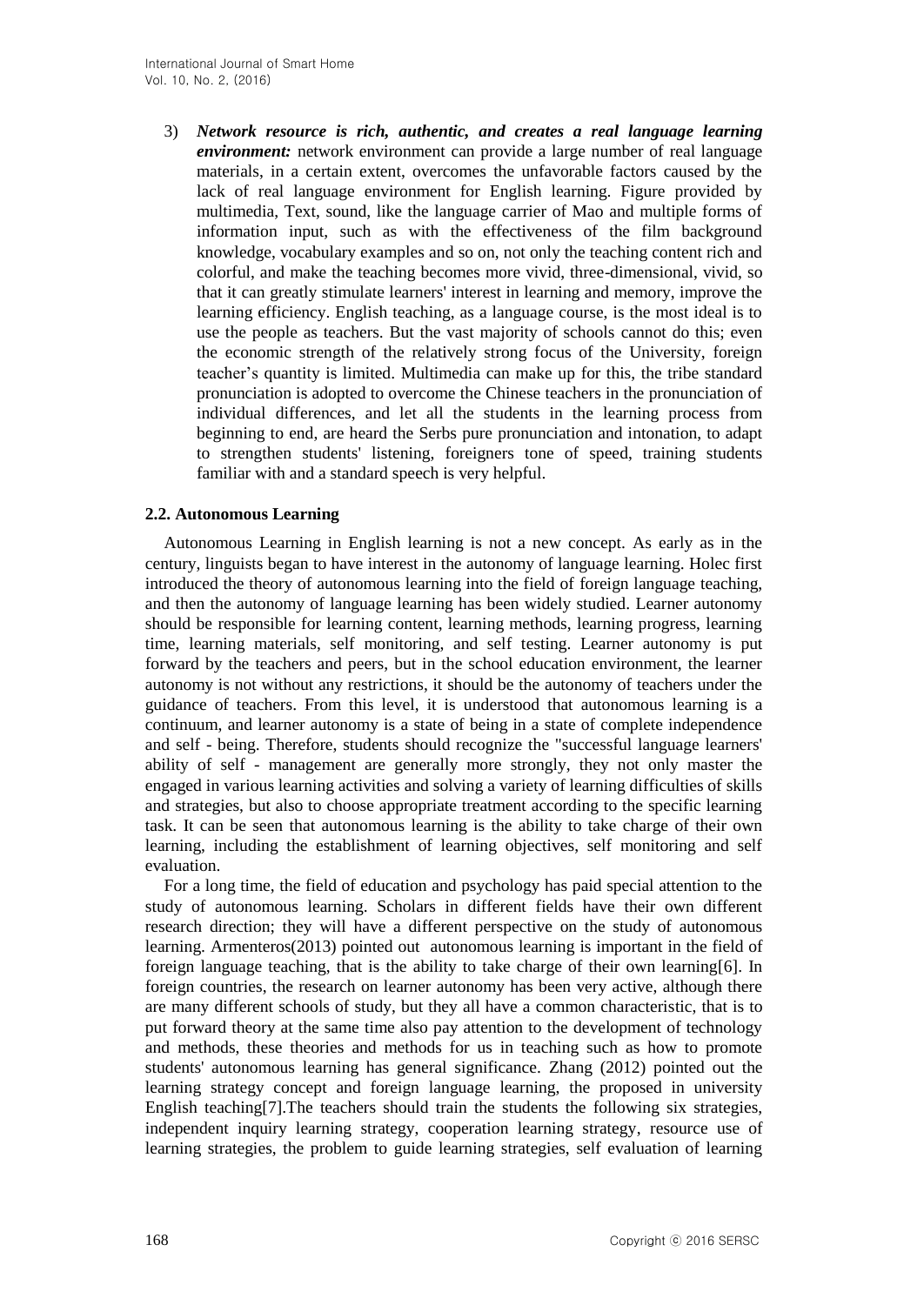3) *Network resource is rich, authentic, and creates a real language learning environment:* network environment can provide a large number of real language materials, in a certain extent, overcomes the unfavorable factors caused by the lack of real language environment for English learning. Figure provided by multimedia, Text, sound, like the language carrier of Mao and multiple forms of information input, such as with the effectiveness of the film background knowledge, vocabulary examples and so on, not only the teaching content rich and colorful, and make the teaching becomes more vivid, three-dimensional, vivid, so that it can greatly stimulate learners' interest in learning and memory, improve the learning efficiency. English teaching, as a language course, is the most ideal is to use the people as teachers. But the vast majority of schools cannot do this; even the economic strength of the relatively strong focus of the University, foreign teacher's quantity is limited. Multimedia can make up for this, the tribe standard pronunciation is adopted to overcome the Chinese teachers in the pronunciation of individual differences, and let all the students in the learning process from beginning to end, are heard the Serbs pure pronunciation and intonation, to adapt to strengthen students' listening, foreigners tone of speed, training students familiar with and a standard speech is very helpful.

#### **2.2. Autonomous Learning**

Autonomous Learning in English learning is not a new concept. As early as in the century, linguists began to have interest in the autonomy of language learning. Holec first introduced the theory of autonomous learning into the field of foreign language teaching, and then the autonomy of language learning has been widely studied. Learner autonomy should be responsible for learning content, learning methods, learning progress, learning time, learning materials, self monitoring, and self testing. Learner autonomy is put forward by the teachers and peers, but in the school education environment, the learner autonomy is not without any restrictions, it should be the autonomy of teachers under the guidance of teachers. From this level, it is understood that autonomous learning is a continuum, and learner autonomy is a state of being in a state of complete independence and self - being. Therefore, students should recognize the "successful language learners' ability of self - management are generally more strongly, they not only master the engaged in various learning activities and solving a variety of learning difficulties of skills and strategies, but also to choose appropriate treatment according to the specific learning task. It can be seen that autonomous learning is the ability to take charge of their own learning, including the establishment of learning objectives, self monitoring and self evaluation.

For a long time, the field of education and psychology has paid special attention to the study of autonomous learning. Scholars in different fields have their own different research direction; they will have a different perspective on the study of autonomous learning. Armenteros(2013) pointed out autonomous learning is important in the field of foreign language teaching, that is the ability to take charge of their own learning[6]. In foreign countries, the research on learner autonomy has been very active, although there are many different schools of study, but they all have a common characteristic, that is to put forward theory at the same time also pay attention to the development of technology and methods, these theories and methods for us in teaching such as how to promote students' autonomous learning has general significance. Zhang (2012) pointed out the learning strategy concept and foreign language learning, the proposed in university English teaching[7].The teachers should train the students the following six strategies, independent inquiry learning strategy, cooperation learning strategy, resource use of learning strategies, the problem to guide learning strategies, self evaluation of learning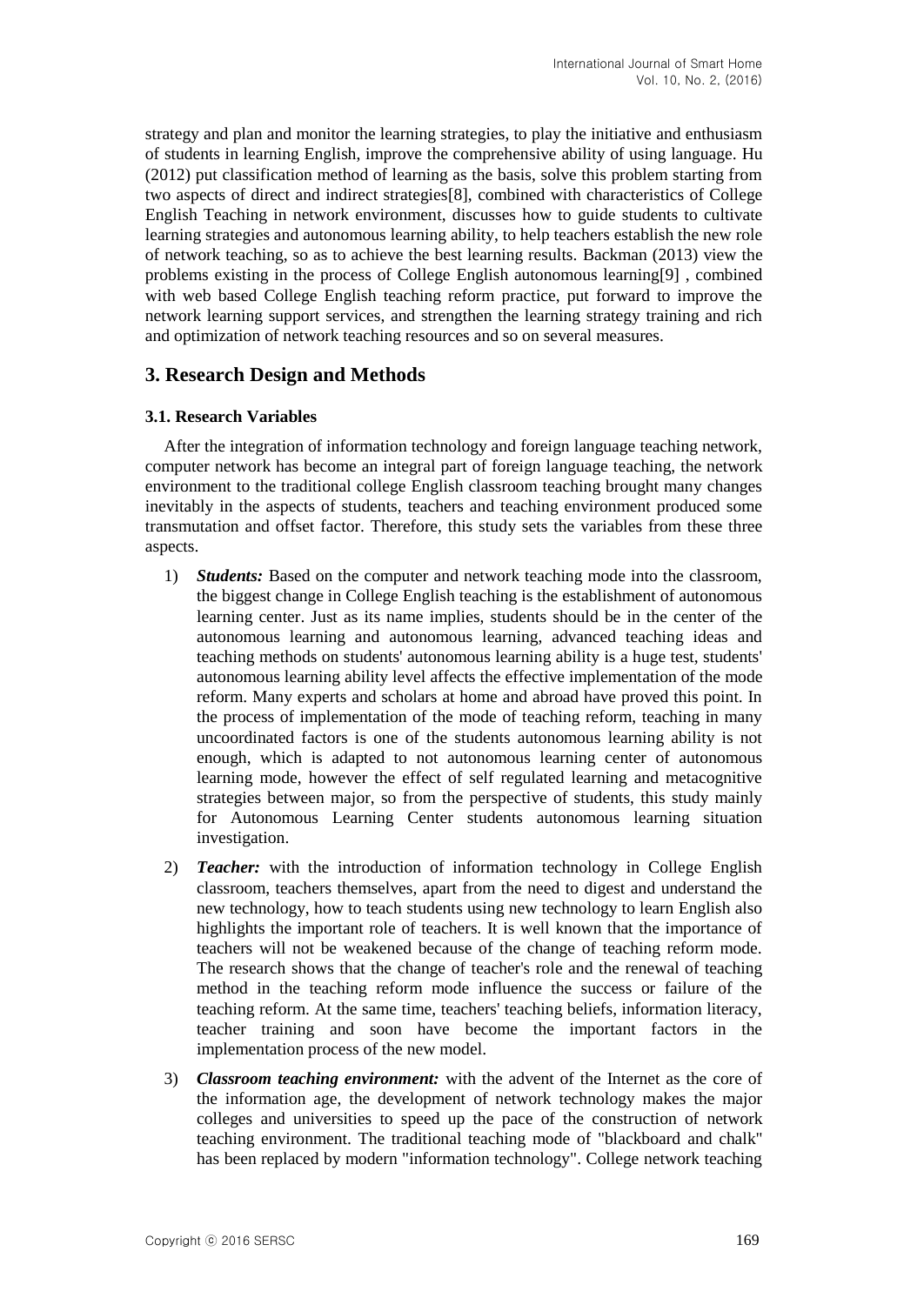strategy and plan and monitor the learning strategies, to play the initiative and enthusiasm of students in learning English, improve the comprehensive ability of using language. Hu (2012) put classification method of learning as the basis, solve this problem starting from two aspects of direct and indirect strategies[8], combined with characteristics of College English Teaching in network environment, discusses how to guide students to cultivate learning strategies and autonomous learning ability, to help teachers establish the new role of network teaching, so as to achieve the best learning results. Backman (2013) view the problems existing in the process of College English autonomous learning[9] , combined with web based College English teaching reform practice, put forward to improve the network learning support services, and strengthen the learning strategy training and rich and optimization of network teaching resources and so on several measures.

## **3. Research Design and Methods**

#### **3.1. Research Variables**

After the integration of information technology and foreign language teaching network, computer network has become an integral part of foreign language teaching, the network environment to the traditional college English classroom teaching brought many changes inevitably in the aspects of students, teachers and teaching environment produced some transmutation and offset factor. Therefore, this study sets the variables from these three aspects.

- 1) *Students:* Based on the computer and network teaching mode into the classroom, the biggest change in College English teaching is the establishment of autonomous learning center. Just as its name implies, students should be in the center of the autonomous learning and autonomous learning, advanced teaching ideas and teaching methods on students' autonomous learning ability is a huge test, students' autonomous learning ability level affects the effective implementation of the mode reform. Many experts and scholars at home and abroad have proved this point. In the process of implementation of the mode of teaching reform, teaching in many uncoordinated factors is one of the students autonomous learning ability is not enough, which is adapted to not autonomous learning center of autonomous learning mode, however the effect of self regulated learning and metacognitive strategies between major, so from the perspective of students, this study mainly for Autonomous Learning Center students autonomous learning situation investigation.
- 2) *Teacher:* with the introduction of information technology in College English classroom, teachers themselves, apart from the need to digest and understand the new technology, how to teach students using new technology to learn English also highlights the important role of teachers. It is well known that the importance of teachers will not be weakened because of the change of teaching reform mode. The research shows that the change of teacher's role and the renewal of teaching method in the teaching reform mode influence the success or failure of the teaching reform. At the same time, teachers' teaching beliefs, information literacy, teacher training and soon have become the important factors in the implementation process of the new model.
- 3) *Classroom teaching environment:* with the advent of the Internet as the core of the information age, the development of network technology makes the major colleges and universities to speed up the pace of the construction of network teaching environment. The traditional teaching mode of "blackboard and chalk" has been replaced by modern "information technology". College network teaching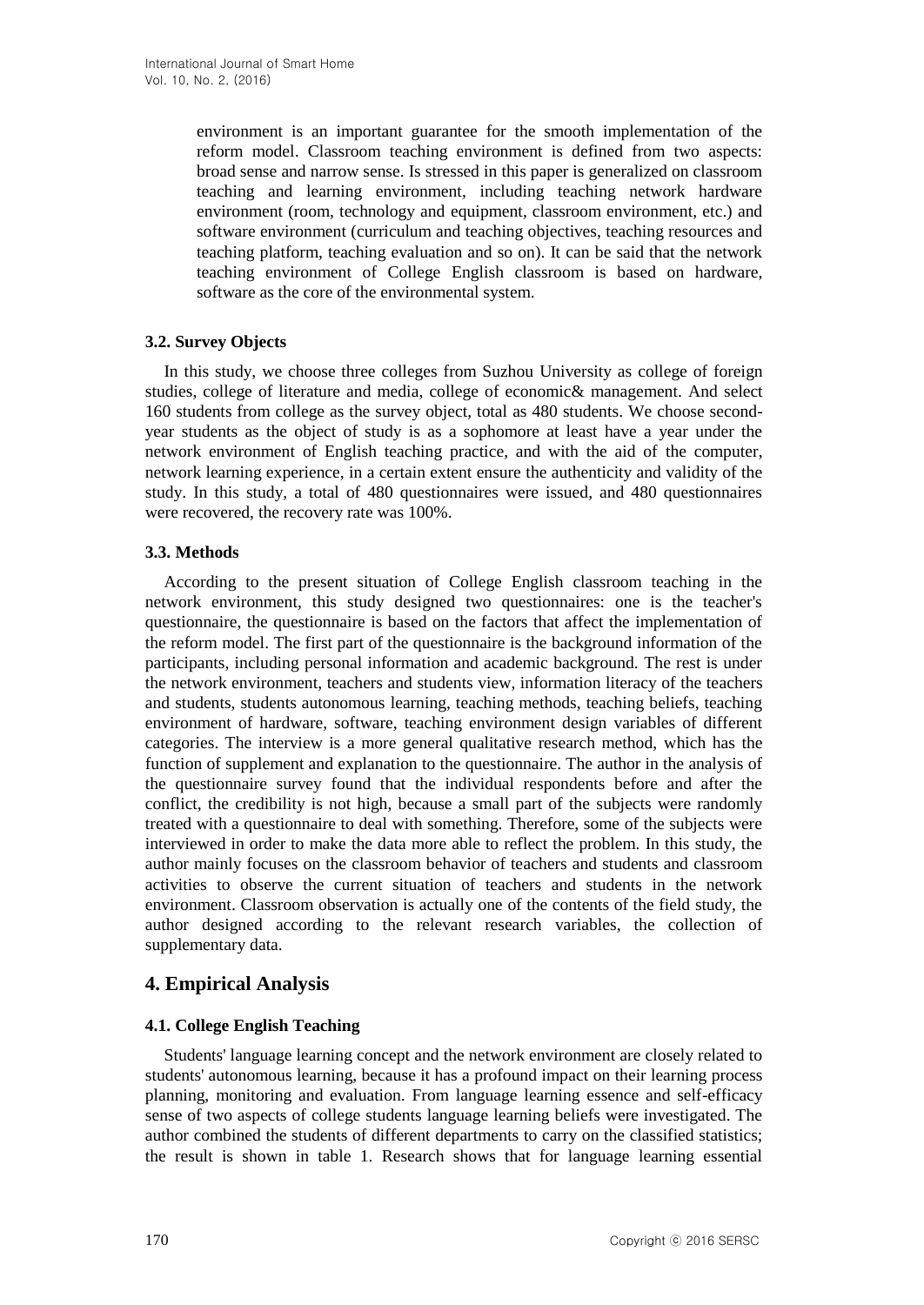environment is an important guarantee for the smooth implementation of the reform model. Classroom teaching environment is defined from two aspects: broad sense and narrow sense. Is stressed in this paper is generalized on classroom teaching and learning environment, including teaching network hardware environment (room, technology and equipment, classroom environment, etc.) and software environment (curriculum and teaching objectives, teaching resources and teaching platform, teaching evaluation and so on). It can be said that the network teaching environment of College English classroom is based on hardware, software as the core of the environmental system.

## **3.2. Survey Objects**

In this study, we choose three colleges from Suzhou University as college of foreign studies, college of literature and media, college of economic& management. And select 160 students from college as the survey object, total as 480 students. We choose secondyear students as the object of study is as a sophomore at least have a year under the network environment of English teaching practice, and with the aid of the computer, network learning experience, in a certain extent ensure the authenticity and validity of the study. In this study, a total of 480 questionnaires were issued, and 480 questionnaires were recovered, the recovery rate was 100%.

### **3.3. Methods**

According to the present situation of College English classroom teaching in the network environment, this study designed two questionnaires: one is the teacher's questionnaire, the questionnaire is based on the factors that affect the implementation of the reform model. The first part of the questionnaire is the background information of the participants, including personal information and academic background. The rest is under the network environment, teachers and students view, information literacy of the teachers and students, students autonomous learning, teaching methods, teaching beliefs, teaching environment of hardware, software, teaching environment design variables of different categories. The interview is a more general qualitative research method, which has the function of supplement and explanation to the questionnaire. The author in the analysis of the questionnaire survey found that the individual respondents before and after the conflict, the credibility is not high, because a small part of the subjects were randomly treated with a questionnaire to deal with something. Therefore, some of the subjects were interviewed in order to make the data more able to reflect the problem. In this study, the author mainly focuses on the classroom behavior of teachers and students and classroom activities to observe the current situation of teachers and students in the network environment. Classroom observation is actually one of the contents of the field study, the author designed according to the relevant research variables, the collection of supplementary data.

# **4. Empirical Analysis**

## **4.1. College English Teaching**

Students' language learning concept and the network environment are closely related to students' autonomous learning, because it has a profound impact on their learning process planning, monitoring and evaluation. From language learning essence and self-efficacy sense of two aspects of college students language learning beliefs were investigated. The author combined the students of different departments to carry on the classified statistics; the result is shown in table 1. Research shows that for language learning essential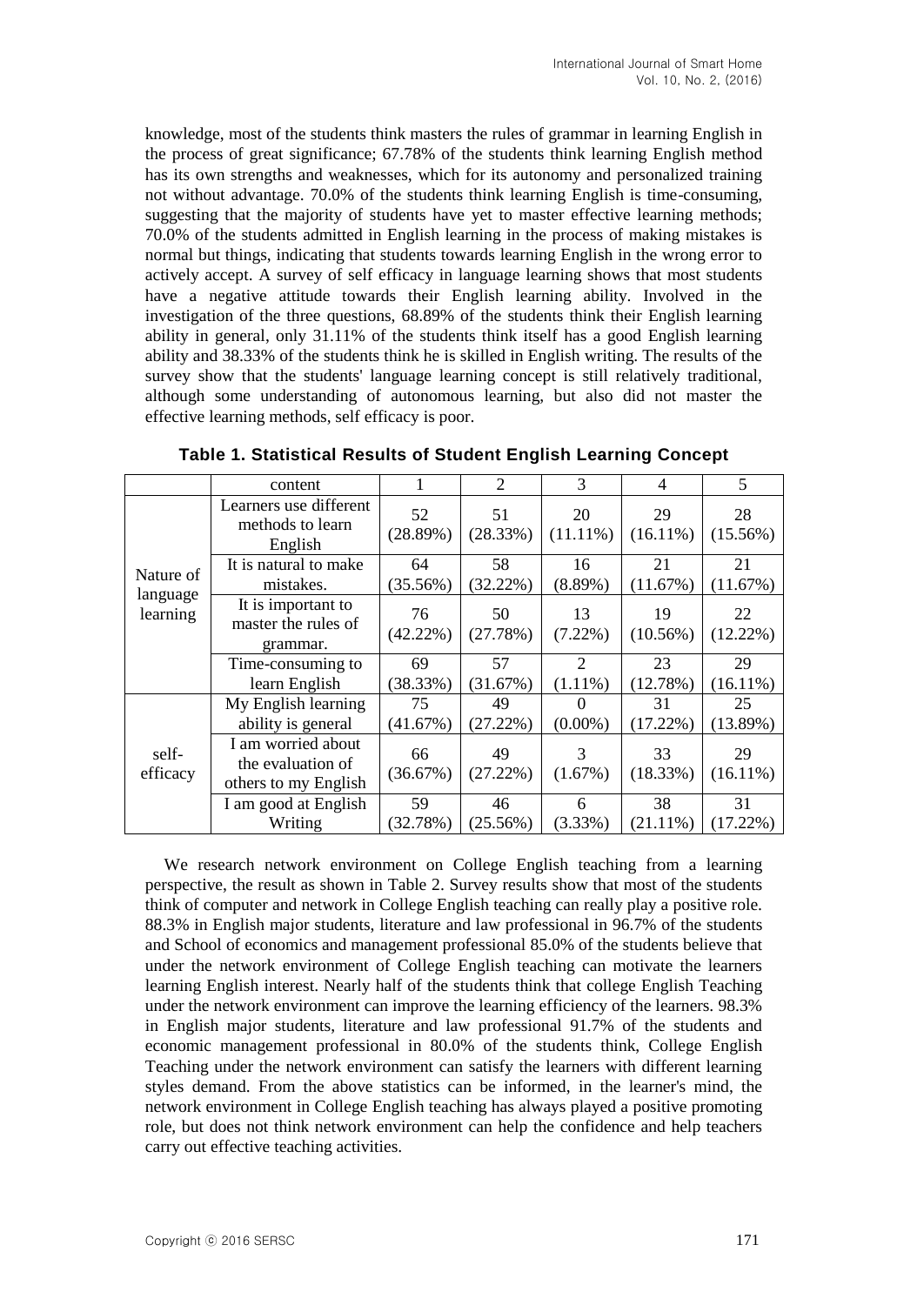knowledge, most of the students think masters the rules of grammar in learning English in the process of great significance; 67.78% of the students think learning English method has its own strengths and weaknesses, which for its autonomy and personalized training not without advantage. 70.0% of the students think learning English is time-consuming, suggesting that the majority of students have yet to master effective learning methods; 70.0% of the students admitted in English learning in the process of making mistakes is normal but things, indicating that students towards learning English in the wrong error to actively accept. A survey of self efficacy in language learning shows that most students have a negative attitude towards their English learning ability. Involved in the investigation of the three questions, 68.89% of the students think their English learning ability in general, only 31.11% of the students think itself has a good English learning ability and 38.33% of the students think he is skilled in English writing. The results of the survey show that the students' language learning concept is still relatively traditional, although some understanding of autonomous learning, but also did not master the effective learning methods, self efficacy is poor.

|                                   | content                                                         |                   | 2              | 3                      | 4                 | 5                 |
|-----------------------------------|-----------------------------------------------------------------|-------------------|----------------|------------------------|-------------------|-------------------|
| Nature of<br>language<br>learning | Learners use different<br>methods to learn<br>English           | 52<br>(28.89%)    | 51<br>(28.33%) | 20<br>$(11.11\%)$      | 29<br>$(16.11\%)$ | 28<br>$(15.56\%)$ |
|                                   | It is natural to make<br>mistakes.                              | 64<br>$(35.56\%)$ | 58<br>(32.22%) | 16<br>$(8.89\%)$       | 21<br>(11.67%)    | 21<br>(11.67%)    |
|                                   | It is important to<br>master the rules of<br>grammar.           | 76<br>$(42.22\%)$ | 50<br>(27.78%) | 13<br>$(7.22\%)$       | 19<br>(10.56%)    | 22<br>$(12.22\%)$ |
|                                   | Time-consuming to<br>learn English                              | 69<br>(38.33%)    | 57<br>(31.67%) | 2<br>$(1.11\%)$        | 23<br>(12.78%)    | 29<br>$(16.11\%)$ |
|                                   | My English learning<br>ability is general                       | 75<br>(41.67%)    | 49<br>(27.22%) | $\theta$<br>$(0.00\%)$ | 31<br>$(17.22\%)$ | 25<br>(13.89%)    |
| self-<br>efficacy                 | I am worried about<br>the evaluation of<br>others to my English | 66<br>(36.67%)    | 49<br>(27.22%) | 3<br>(1.67%)           | 33<br>(18.33%)    | 29<br>$(16.11\%)$ |
|                                   | I am good at English<br>Writing                                 | 59<br>(32.78%)    | 46<br>(25.56%) | 6<br>$(3.33\%)$        | 38<br>$(21.11\%)$ | 31<br>$(17.22\%)$ |

**Table 1. Statistical Results of Student English Learning Concept**

We research network environment on College English teaching from a learning perspective, the result as shown in Table 2. Survey results show that most of the students think of computer and network in College English teaching can really play a positive role. 88.3% in English major students, literature and law professional in 96.7% of the students and School of economics and management professional 85.0% of the students believe that under the network environment of College English teaching can motivate the learners learning English interest. Nearly half of the students think that college English Teaching under the network environment can improve the learning efficiency of the learners. 98.3% in English major students, literature and law professional 91.7% of the students and economic management professional in 80.0% of the students think, College English Teaching under the network environment can satisfy the learners with different learning styles demand. From the above statistics can be informed, in the learner's mind, the network environment in College English teaching has always played a positive promoting role, but does not think network environment can help the confidence and help teachers carry out effective teaching activities.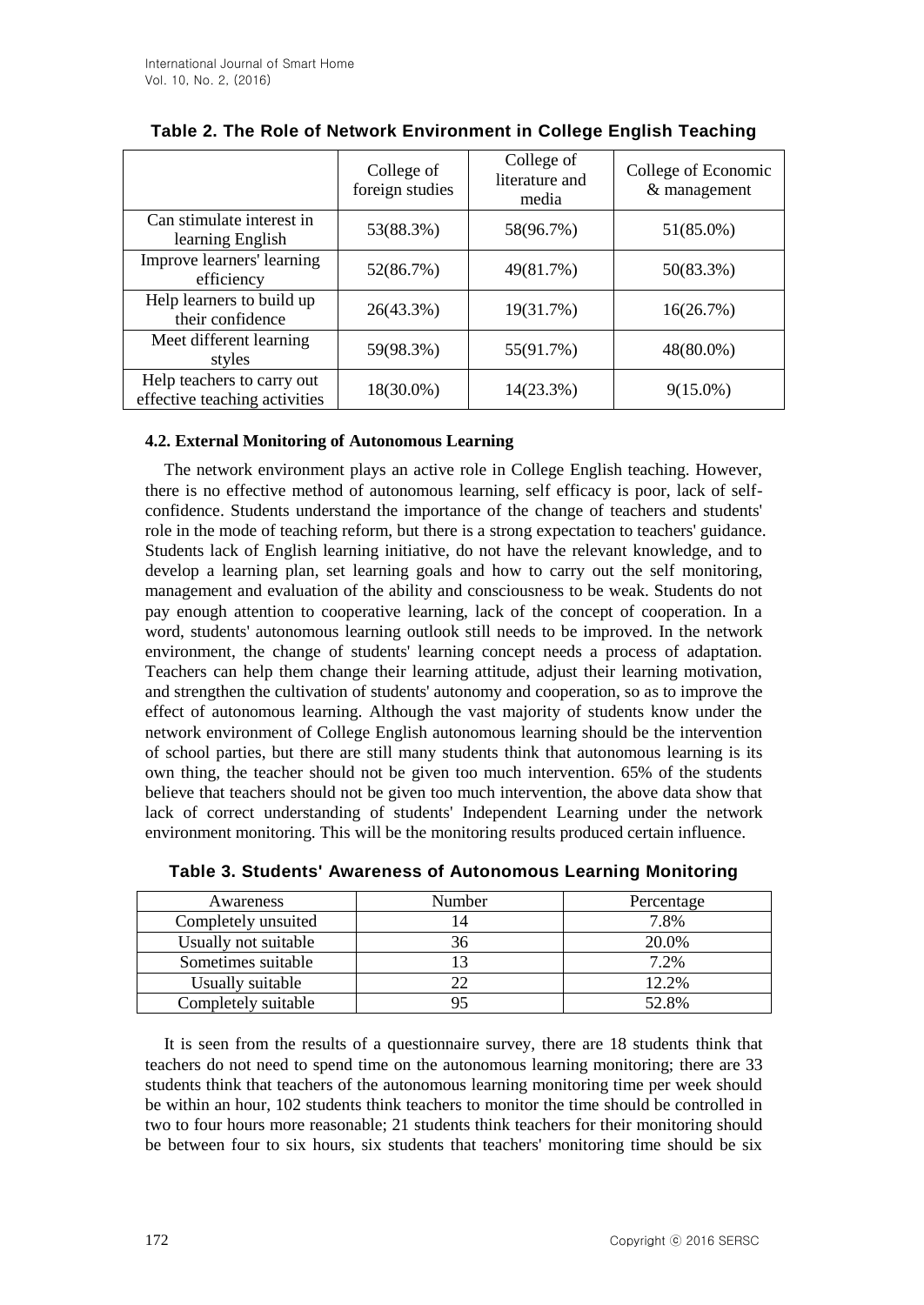|                                                             | College of<br>foreign studies | College of<br>literature and<br>media | College of Economic<br>& management |
|-------------------------------------------------------------|-------------------------------|---------------------------------------|-------------------------------------|
| Can stimulate interest in<br>learning English               | 53(88.3%)                     | 58(96.7%)                             | 51(85.0%)                           |
| Improve learners' learning<br>efficiency                    | 52(86.7%)                     | 49(81.7%)                             | 50(83.3%)                           |
| Help learners to build up<br>their confidence               | 26(43.3%)                     | 19(31.7%)                             | 16(26.7%)                           |
| Meet different learning<br>styles                           | 59(98.3%)                     | 55(91.7%)                             | 48(80.0%)                           |
| Help teachers to carry out<br>effective teaching activities | 18(30.0%)                     | 14(23.3%)                             | $9(15.0\%)$                         |

| Table 2. The Role of Network Environment in College English Teaching |  |
|----------------------------------------------------------------------|--|
|----------------------------------------------------------------------|--|

### **4.2. External Monitoring of Autonomous Learning**

The network environment plays an active role in College English teaching. However, there is no effective method of autonomous learning, self efficacy is poor, lack of selfconfidence. Students understand the importance of the change of teachers and students' role in the mode of teaching reform, but there is a strong expectation to teachers' guidance. Students lack of English learning initiative, do not have the relevant knowledge, and to develop a learning plan, set learning goals and how to carry out the self monitoring, management and evaluation of the ability and consciousness to be weak. Students do not pay enough attention to cooperative learning, lack of the concept of cooperation. In a word, students' autonomous learning outlook still needs to be improved. In the network environment, the change of students' learning concept needs a process of adaptation. Teachers can help them change their learning attitude, adjust their learning motivation, and strengthen the cultivation of students' autonomy and cooperation, so as to improve the effect of autonomous learning. Although the vast majority of students know under the network environment of College English autonomous learning should be the intervention of school parties, but there are still many students think that autonomous learning is its own thing, the teacher should not be given too much intervention. 65% of the students believe that teachers should not be given too much intervention, the above data show that lack of correct understanding of students' Independent Learning under the network environment monitoring. This will be the monitoring results produced certain influence.

| Awareness            | Number | Percentage |
|----------------------|--------|------------|
| Completely unsuited  | 4      | 7.8%       |
| Usually not suitable | 36     | 20.0%      |
| Sometimes suitable   |        | 7.2%       |
| Usually suitable     |        | 12.2%      |
| Completely suitable  |        | 52.8%      |

**Table 3. Students' Awareness of Autonomous Learning Monitoring**

It is seen from the results of a questionnaire survey, there are 18 students think that teachers do not need to spend time on the autonomous learning monitoring; there are 33 students think that teachers of the autonomous learning monitoring time per week should be within an hour, 102 students think teachers to monitor the time should be controlled in two to four hours more reasonable; 21 students think teachers for their monitoring should be between four to six hours, six students that teachers' monitoring time should be six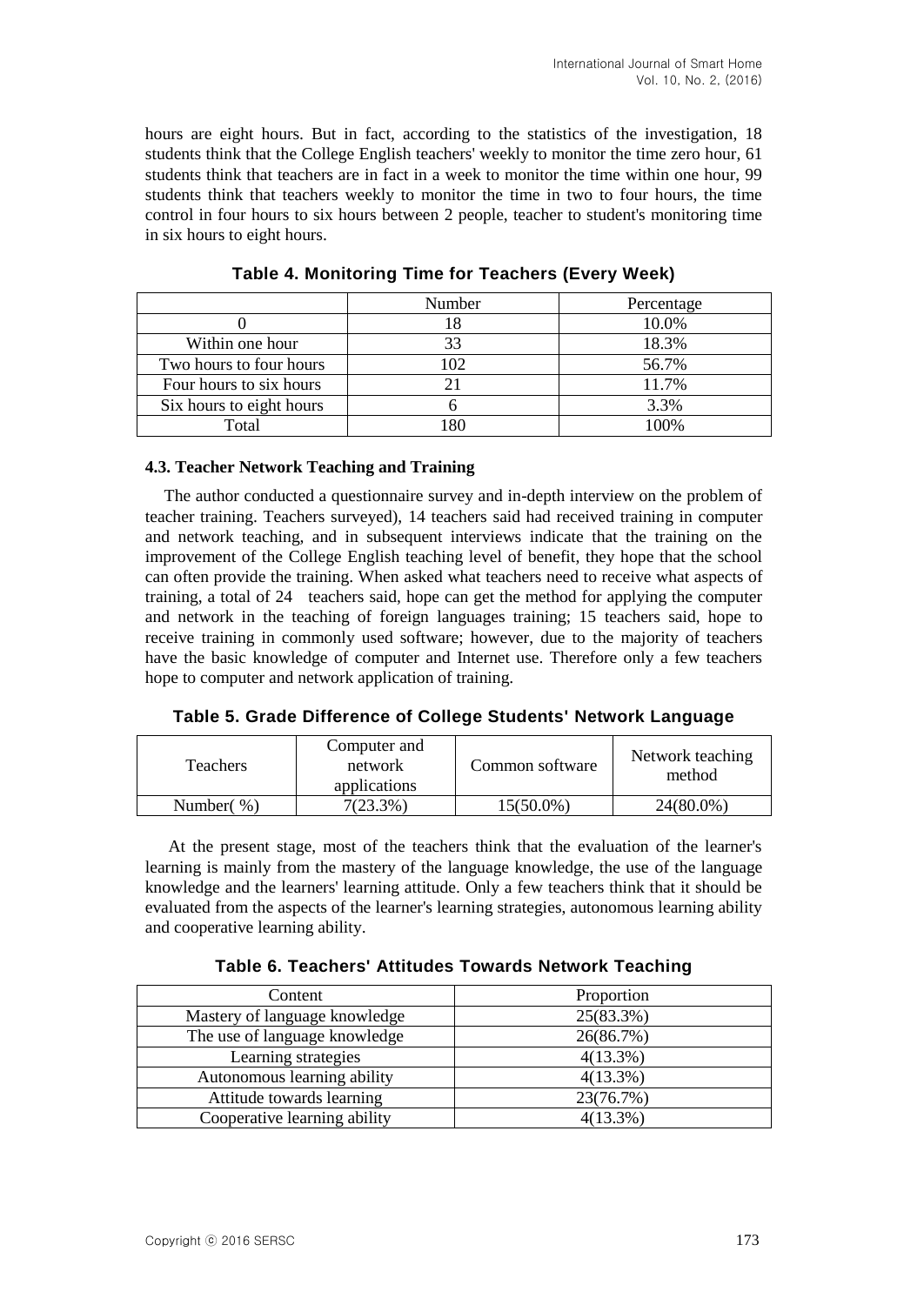hours are eight hours. But in fact, according to the statistics of the investigation, 18 students think that the College English teachers' weekly to monitor the time zero hour, 61 students think that teachers are in fact in a week to monitor the time within one hour, 99 students think that teachers weekly to monitor the time in two to four hours, the time control in four hours to six hours between 2 people, teacher to student's monitoring time in six hours to eight hours.

|                          | Number | Percentage |
|--------------------------|--------|------------|
|                          |        | 10.0%      |
| Within one hour          | 33     | 18.3%      |
| Two hours to four hours  | 102    | 56.7%      |
| Four hours to six hours  |        | 11.7%      |
| Six hours to eight hours |        | 3.3%       |
| Total                    | 1 R N  | 100%       |

**Table 4. Monitoring Time for Teachers (Every Week)**

#### **4.3. Teacher Network Teaching and Training**

The author conducted a questionnaire survey and in-depth interview on the problem of teacher training. Teachers surveyed), 14 teachers said had received training in computer and network teaching, and in subsequent interviews indicate that the training on the improvement of the College English teaching level of benefit, they hope that the school can often provide the training. When asked what teachers need to receive what aspects of training, a total of 24 teachers said, hope can get the method for applying the computer and network in the teaching of foreign languages training; 15 teachers said, hope to receive training in commonly used software; however, due to the majority of teachers have the basic knowledge of computer and Internet use. Therefore only a few teachers hope to computer and network application of training.

**Table 5. Grade Difference of College Students' Network Language**

| <b>Teachers</b> | Computer and<br>network<br>applications | Common software | Network teaching<br>method |
|-----------------|-----------------------------------------|-----------------|----------------------------|
| Number $(\%)$   | $7(23.3\%)$                             | 15(50.0%)       | 24(80.0%)                  |

At the present stage, most of the teachers think that the evaluation of the learner's learning is mainly from the mastery of the language knowledge, the use of the language knowledge and the learners' learning attitude. Only a few teachers think that it should be evaluated from the aspects of the learner's learning strategies, autonomous learning ability and cooperative learning ability.

| Table 6. Teachers' Attitudes Towards Network Teaching |  |  |  |
|-------------------------------------------------------|--|--|--|
|-------------------------------------------------------|--|--|--|

| Content                       | Proportion  |
|-------------------------------|-------------|
| Mastery of language knowledge | 25(83.3%)   |
| The use of language knowledge | 26(86.7%)   |
| Learning strategies           | $4(13.3\%)$ |
| Autonomous learning ability   | $4(13.3\%)$ |
| Attitude towards learning     | 23(76.7%)   |
| Cooperative learning ability  | $4(13.3\%)$ |